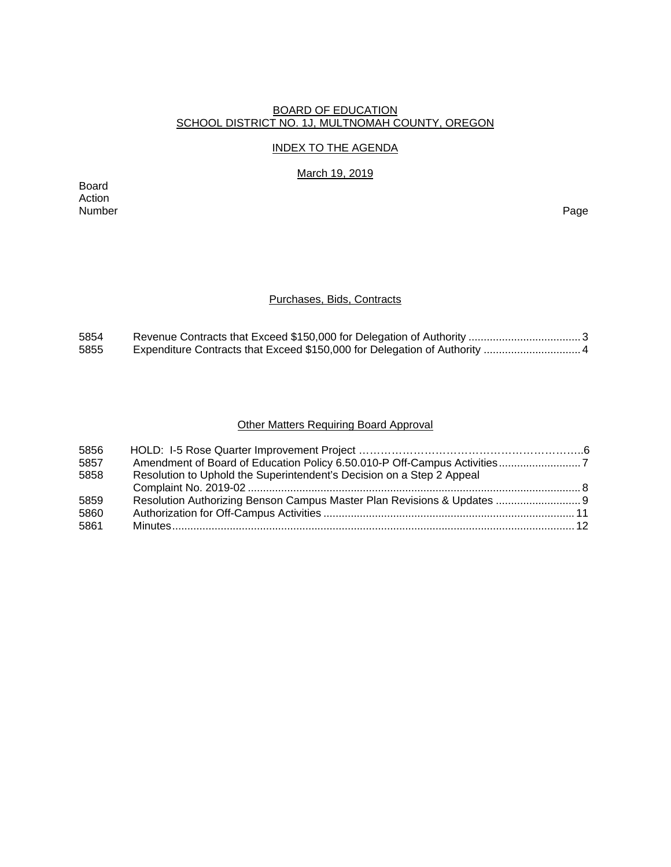#### BOARD OF EDUCATION SCHOOL DISTRICT NO. 1J, MULTNOMAH COUNTY, OREGON

## INDEX TO THE AGENDA

March 19, 2019

Board Action Number Page

## Purchases, Bids, Contracts

| 5854 |  |
|------|--|
| 5855 |  |

# Other Matters Requiring Board Approval

| 5856 |                                                                         |  |
|------|-------------------------------------------------------------------------|--|
| 5857 |                                                                         |  |
| 5858 | Resolution to Uphold the Superintendent's Decision on a Step 2 Appeal   |  |
|      |                                                                         |  |
| 5859 | Resolution Authorizing Benson Campus Master Plan Revisions & Updates  9 |  |
| 5860 |                                                                         |  |
| 5861 |                                                                         |  |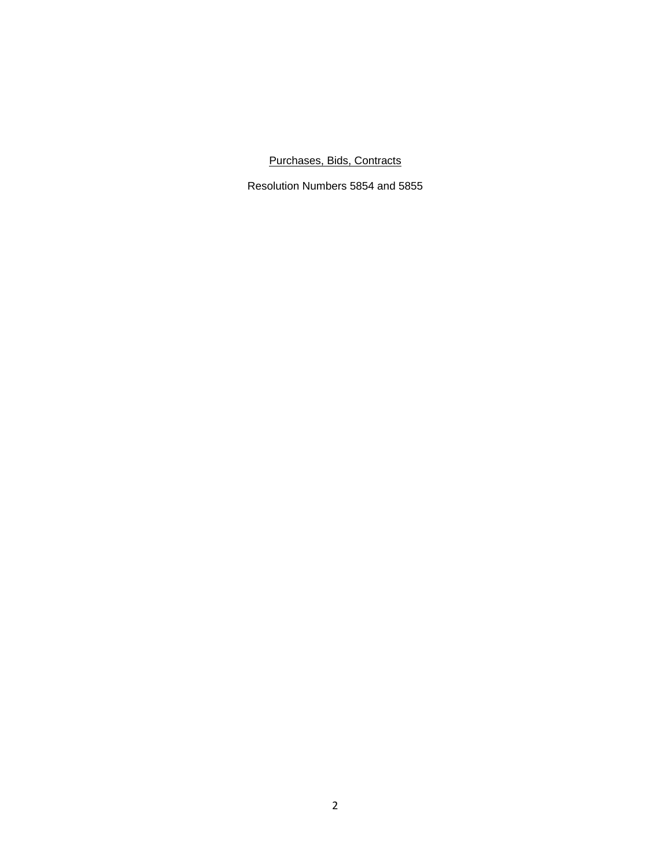# Purchases, Bids, Contracts

Resolution Numbers 5854 and 5855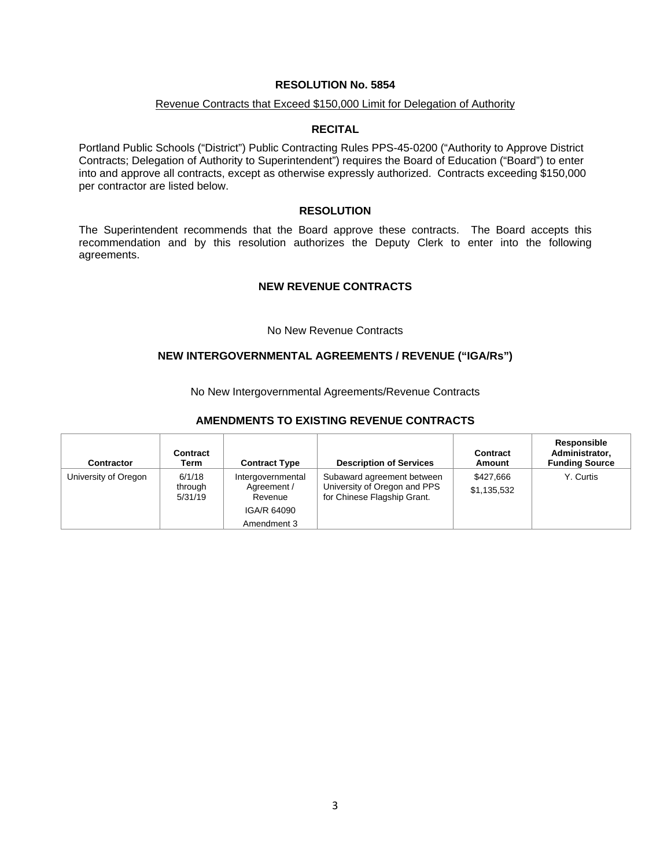#### Revenue Contracts that Exceed \$150,000 Limit for Delegation of Authority

#### **RECITAL**

Portland Public Schools ("District") Public Contracting Rules PPS-45-0200 ("Authority to Approve District Contracts; Delegation of Authority to Superintendent") requires the Board of Education ("Board") to enter into and approve all contracts, except as otherwise expressly authorized. Contracts exceeding \$150,000 per contractor are listed below.

#### **RESOLUTION**

The Superintendent recommends that the Board approve these contracts. The Board accepts this recommendation and by this resolution authorizes the Deputy Clerk to enter into the following agreements.

#### **NEW REVENUE CONTRACTS**

#### No New Revenue Contracts

#### **NEW INTERGOVERNMENTAL AGREEMENTS / REVENUE ("IGA/Rs")**

No New Intergovernmental Agreements/Revenue Contracts

#### **AMENDMENTS TO EXISTING REVENUE CONTRACTS**

| <b>Contractor</b>    | Contract<br>Term             | <b>Contract Type</b>                        | <b>Description of Services</b>                                                            | <b>Contract</b><br>Amount | Responsible<br>Administrator,<br><b>Funding Source</b> |
|----------------------|------------------------------|---------------------------------------------|-------------------------------------------------------------------------------------------|---------------------------|--------------------------------------------------------|
| University of Oregon | 6/1/18<br>through<br>5/31/19 | Intergovernmental<br>Agreement /<br>Revenue | Subaward agreement between<br>University of Oregon and PPS<br>for Chinese Flagship Grant. | \$427,666<br>\$1,135,532  | Y. Curtis                                              |
|                      |                              | IGA/R 64090                                 |                                                                                           |                           |                                                        |
|                      |                              | Amendment 3                                 |                                                                                           |                           |                                                        |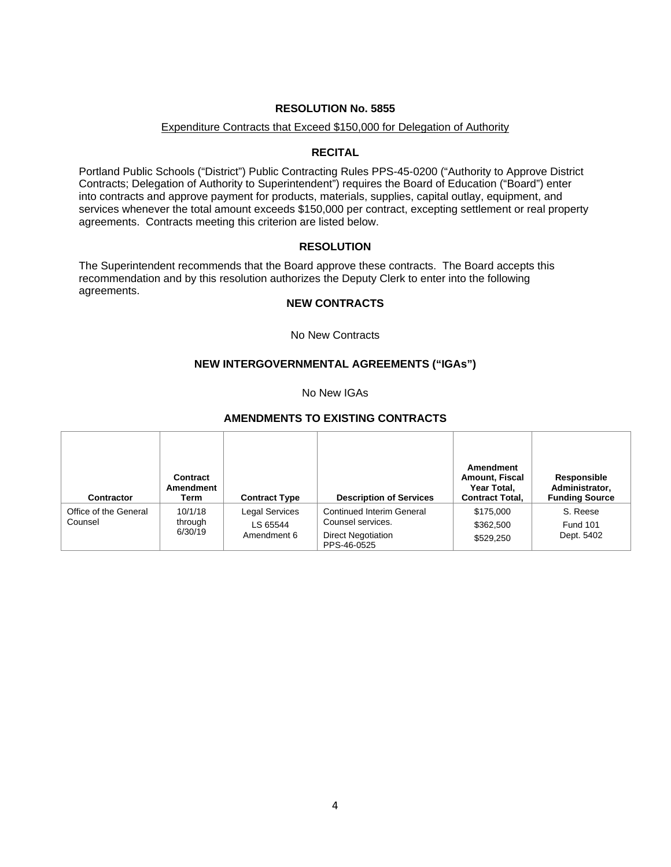#### Expenditure Contracts that Exceed \$150,000 for Delegation of Authority

#### **RECITAL**

Portland Public Schools ("District") Public Contracting Rules PPS-45-0200 ("Authority to Approve District Contracts; Delegation of Authority to Superintendent") requires the Board of Education ("Board") enter into contracts and approve payment for products, materials, supplies, capital outlay, equipment, and services whenever the total amount exceeds \$150,000 per contract, excepting settlement or real property agreements. Contracts meeting this criterion are listed below.

#### **RESOLUTION**

The Superintendent recommends that the Board approve these contracts. The Board accepts this recommendation and by this resolution authorizes the Deputy Clerk to enter into the following agreements.

# **NEW CONTRACTS**

No New Contracts

## **NEW INTERGOVERNMENTAL AGREEMENTS ("IGAs")**

No New IGAs

#### **AMENDMENTS TO EXISTING CONTRACTS**

| <b>Contractor</b>                | Contract<br>Amendment<br>Term | <b>Contract Type</b>                             | <b>Description of Services</b>                                                             | Amendment<br><b>Amount, Fiscal</b><br>Year Total,<br><b>Contract Total,</b> | Responsible<br>Administrator,<br><b>Funding Source</b> |
|----------------------------------|-------------------------------|--------------------------------------------------|--------------------------------------------------------------------------------------------|-----------------------------------------------------------------------------|--------------------------------------------------------|
| Office of the General<br>Counsel | 10/1/18<br>through<br>6/30/19 | <b>Legal Services</b><br>LS 65544<br>Amendment 6 | Continued Interim General<br>Counsel services.<br><b>Direct Negotiation</b><br>PPS-46-0525 | \$175,000<br>\$362,500<br>\$529,250                                         | S. Reese<br><b>Fund 101</b><br>Dept. 5402              |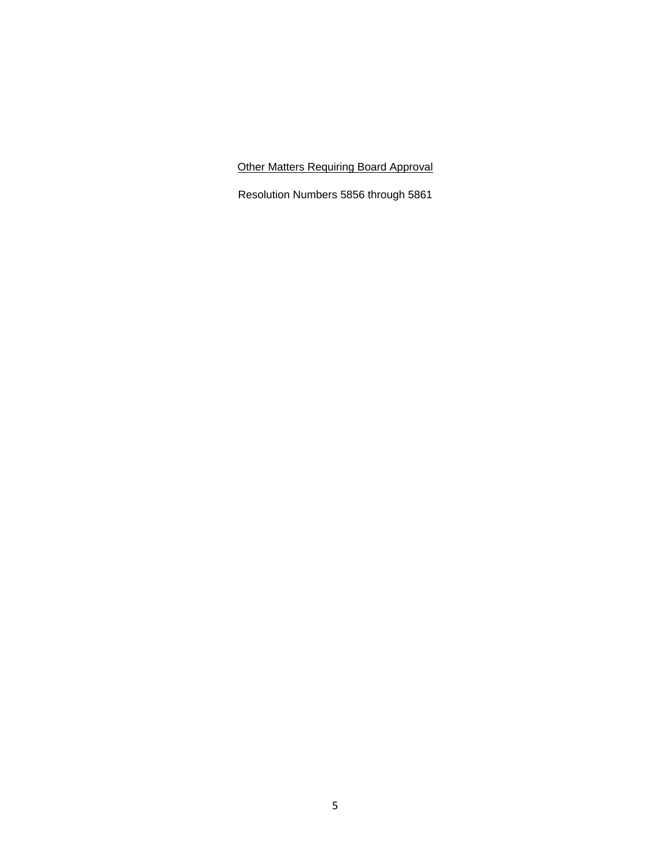Other Matters Requiring Board Approval

Resolution Numbers 5856 through 5861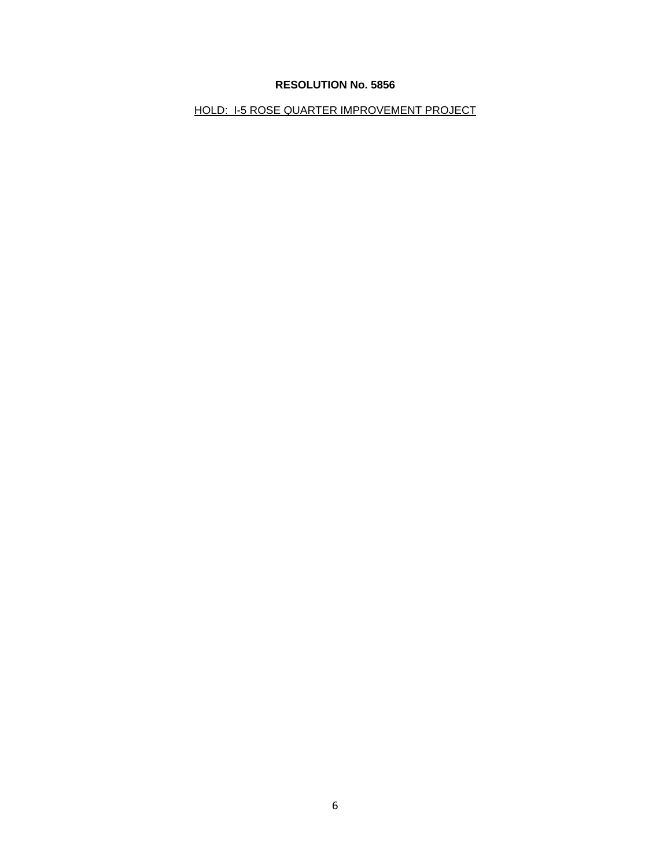HOLD: I-5 ROSE QUARTER IMPROVEMENT PROJECT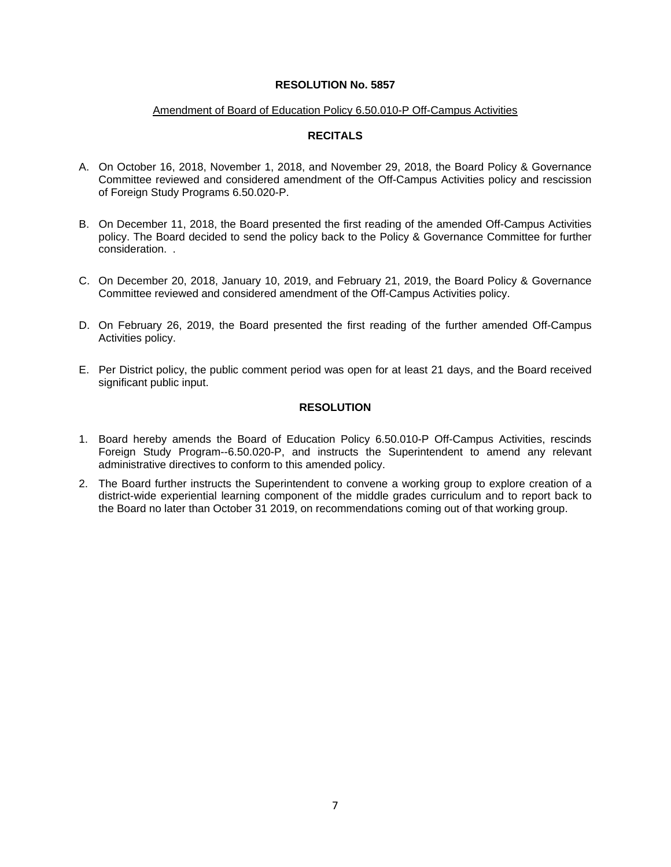#### Amendment of Board of Education Policy 6.50.010-P Off-Campus Activities

## **RECITALS**

- A. On October 16, 2018, November 1, 2018, and November 29, 2018, the Board Policy & Governance Committee reviewed and considered amendment of the Off-Campus Activities policy and rescission of Foreign Study Programs 6.50.020-P.
- B. On December 11, 2018, the Board presented the first reading of the amended Off-Campus Activities policy. The Board decided to send the policy back to the Policy & Governance Committee for further consideration. .
- C. On December 20, 2018, January 10, 2019, and February 21, 2019, the Board Policy & Governance Committee reviewed and considered amendment of the Off-Campus Activities policy.
- D. On February 26, 2019, the Board presented the first reading of the further amended Off-Campus Activities policy.
- E. Per District policy, the public comment period was open for at least 21 days, and the Board received significant public input.

## **RESOLUTION**

- 1. Board hereby amends the Board of Education Policy 6.50.010-P Off-Campus Activities, rescinds Foreign Study Program--6.50.020-P, and instructs the Superintendent to amend any relevant administrative directives to conform to this amended policy.
- 2. The Board further instructs the Superintendent to convene a working group to explore creation of a district-wide experiential learning component of the middle grades curriculum and to report back to the Board no later than October 31 2019, on recommendations coming out of that working group.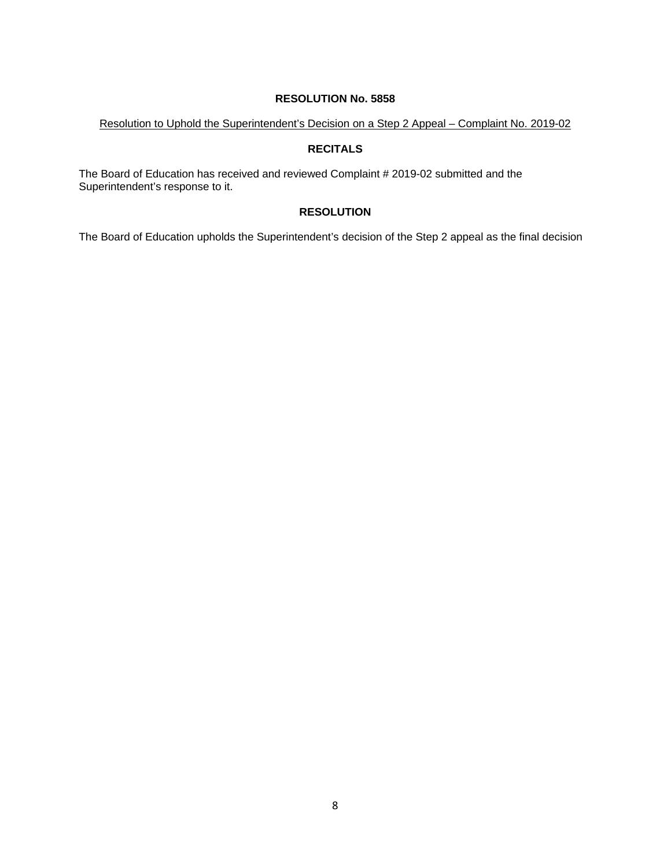Resolution to Uphold the Superintendent's Decision on a Step 2 Appeal – Complaint No. 2019-02

## **RECITALS**

The Board of Education has received and reviewed Complaint # 2019-02 submitted and the Superintendent's response to it.

## **RESOLUTION**

The Board of Education upholds the Superintendent's decision of the Step 2 appeal as the final decision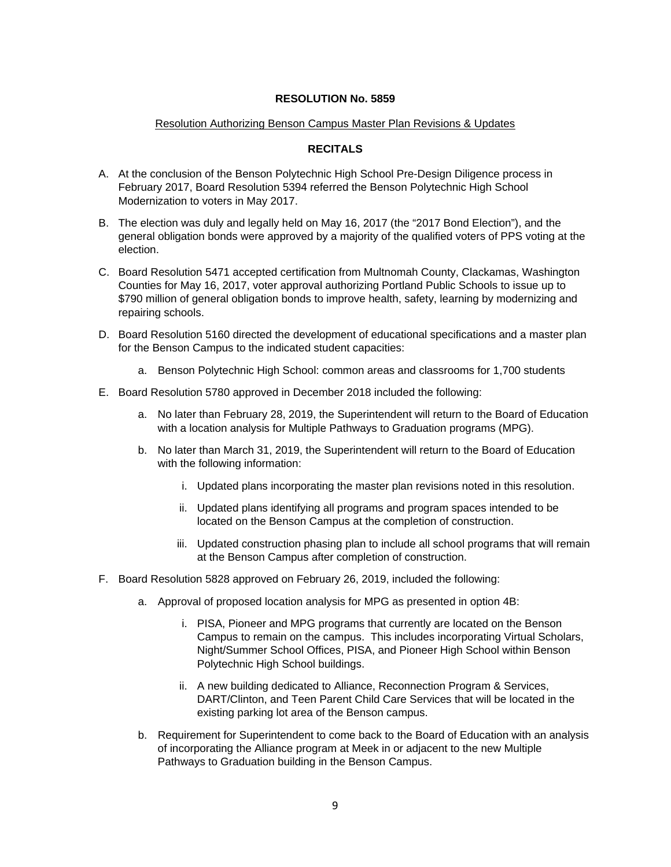## Resolution Authorizing Benson Campus Master Plan Revisions & Updates

## **RECITALS**

- A. At the conclusion of the Benson Polytechnic High School Pre-Design Diligence process in February 2017, Board Resolution 5394 referred the Benson Polytechnic High School Modernization to voters in May 2017.
- B. The election was duly and legally held on May 16, 2017 (the "2017 Bond Election"), and the general obligation bonds were approved by a majority of the qualified voters of PPS voting at the election.
- C. Board Resolution 5471 accepted certification from Multnomah County, Clackamas, Washington Counties for May 16, 2017, voter approval authorizing Portland Public Schools to issue up to \$790 million of general obligation bonds to improve health, safety, learning by modernizing and repairing schools.
- D. Board Resolution 5160 directed the development of educational specifications and a master plan for the Benson Campus to the indicated student capacities:
	- a. Benson Polytechnic High School: common areas and classrooms for 1,700 students
- E. Board Resolution 5780 approved in December 2018 included the following:
	- a. No later than February 28, 2019, the Superintendent will return to the Board of Education with a location analysis for Multiple Pathways to Graduation programs (MPG).
	- b. No later than March 31, 2019, the Superintendent will return to the Board of Education with the following information:
		- i. Updated plans incorporating the master plan revisions noted in this resolution.
		- ii. Updated plans identifying all programs and program spaces intended to be located on the Benson Campus at the completion of construction.
		- iii. Updated construction phasing plan to include all school programs that will remain at the Benson Campus after completion of construction.
- F. Board Resolution 5828 approved on February 26, 2019, included the following:
	- a. Approval of proposed location analysis for MPG as presented in option 4B:
		- i. PISA, Pioneer and MPG programs that currently are located on the Benson Campus to remain on the campus. This includes incorporating Virtual Scholars, Night/Summer School Offices, PISA, and Pioneer High School within Benson Polytechnic High School buildings.
		- ii. A new building dedicated to Alliance, Reconnection Program & Services, DART/Clinton, and Teen Parent Child Care Services that will be located in the existing parking lot area of the Benson campus.
	- b. Requirement for Superintendent to come back to the Board of Education with an analysis of incorporating the Alliance program at Meek in or adjacent to the new Multiple Pathways to Graduation building in the Benson Campus.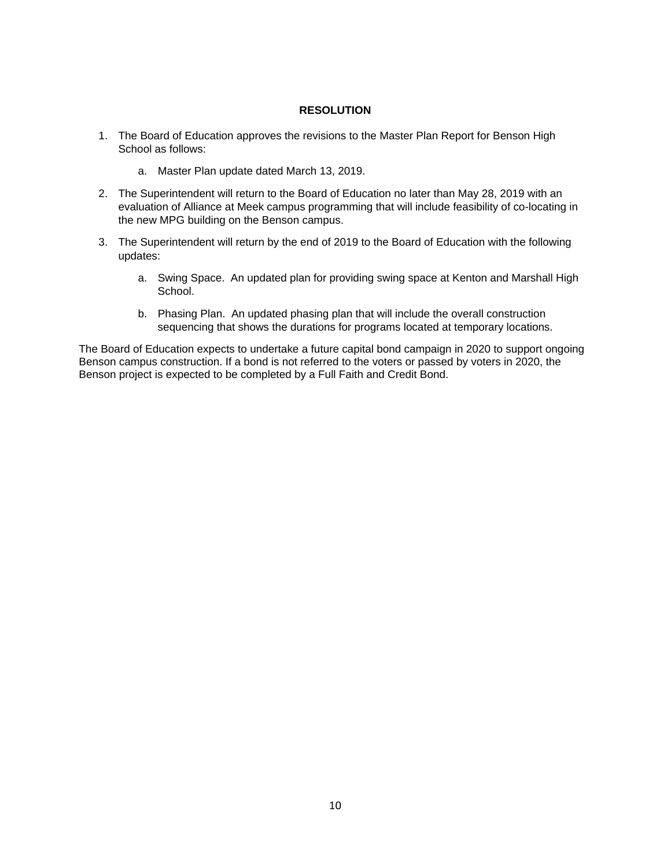## **RESOLUTION**

- 1. The Board of Education approves the revisions to the Master Plan Report for Benson High School as follows:
	- a. Master Plan update dated March 13, 2019.
- 2. The Superintendent will return to the Board of Education no later than May 28, 2019 with an evaluation of Alliance at Meek campus programming that will include feasibility of co-locating in the new MPG building on the Benson campus.
- 3. The Superintendent will return by the end of 2019 to the Board of Education with the following updates:
	- a. Swing Space. An updated plan for providing swing space at Kenton and Marshall High School.
	- b. Phasing Plan. An updated phasing plan that will include the overall construction sequencing that shows the durations for programs located at temporary locations.

The Board of Education expects to undertake a future capital bond campaign in 2020 to support ongoing Benson campus construction. If a bond is not referred to the voters or passed by voters in 2020, the Benson project is expected to be completed by a Full Faith and Credit Bond.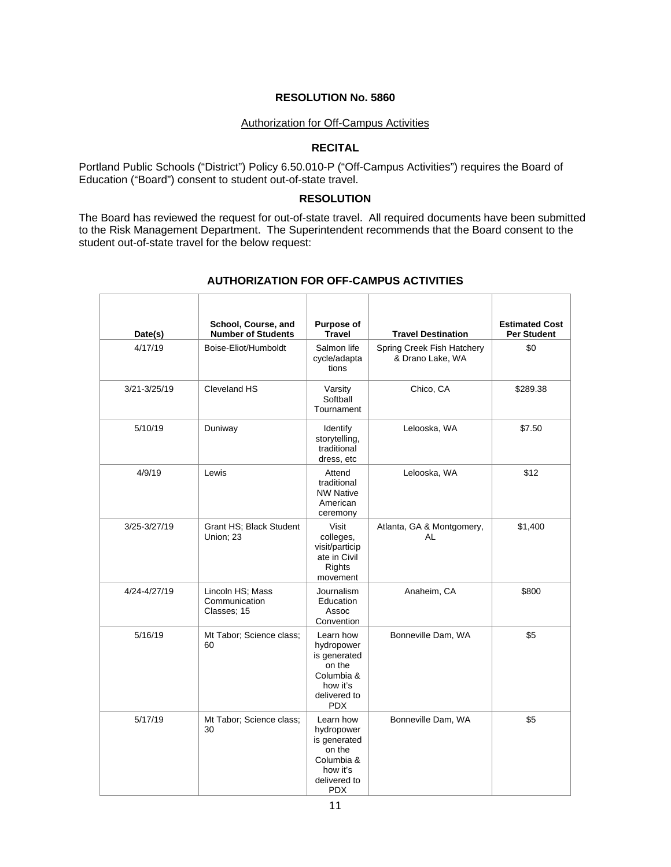#### Authorization for Off-Campus Activities

#### **RECITAL**

Portland Public Schools ("District") Policy 6.50.010-P ("Off-Campus Activities") requires the Board of Education ("Board") consent to student out-of-state travel.

## **RESOLUTION**

The Board has reviewed the request for out-of-state travel. All required documents have been submitted to the Risk Management Department. The Superintendent recommends that the Board consent to the student out-of-state travel for the below request:

| Date(s)      | School, Course, and<br><b>Number of Students</b> | Purpose of<br><b>Travel</b>                                                                               | <b>Travel Destination</b>                      | <b>Estimated Cost</b><br><b>Per Student</b> |
|--------------|--------------------------------------------------|-----------------------------------------------------------------------------------------------------------|------------------------------------------------|---------------------------------------------|
| 4/17/19      | Boise-Eliot/Humboldt                             | Salmon life<br>cycle/adapta<br>tions                                                                      | Spring Creek Fish Hatchery<br>& Drano Lake, WA | \$0                                         |
| 3/21-3/25/19 | Cleveland HS                                     | Varsity<br>Softball<br>Tournament                                                                         | Chico, CA                                      | \$289.38                                    |
| 5/10/19      | Duniway                                          | Identify<br>storytelling,<br>traditional<br>dress, etc                                                    | Lelooska, WA                                   | \$7.50                                      |
| 4/9/19       | Lewis                                            | Attend<br>traditional<br><b>NW Native</b><br>American<br>ceremony                                         | Lelooska, WA                                   | \$12                                        |
| 3/25-3/27/19 | Grant HS; Black Student<br>Union: 23             | Visit<br>colleges,<br>visit/particip<br>ate in Civil<br>Rights<br>movement                                | Atlanta, GA & Montgomery,<br>AL                | \$1,400                                     |
| 4/24-4/27/19 | Lincoln HS; Mass<br>Communication<br>Classes; 15 | Journalism<br>Education<br>Assoc<br>Convention                                                            | Anaheim, CA                                    | \$800                                       |
| 5/16/19      | Mt Tabor; Science class;<br>60                   | Learn how<br>hydropower<br>is generated<br>on the<br>Columbia &<br>how it's<br>delivered to<br><b>PDX</b> | Bonneville Dam, WA                             | \$5                                         |
| 5/17/19      | Mt Tabor; Science class;<br>30                   | Learn how<br>hydropower<br>is generated<br>on the<br>Columbia &<br>how it's<br>delivered to<br><b>PDX</b> | Bonneville Dam, WA                             | \$5                                         |

#### **AUTHORIZATION FOR OFF-CAMPUS ACTIVITIES**